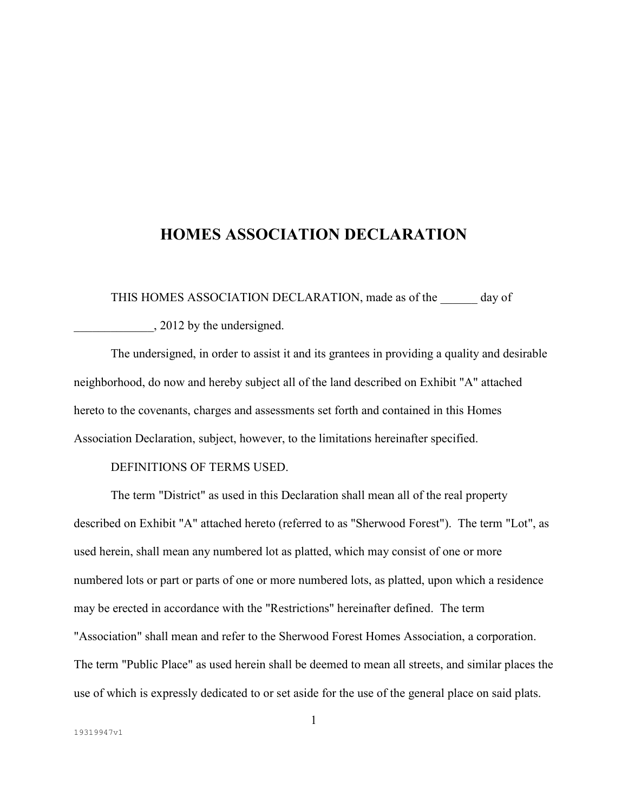# **HOMES ASSOCIATION DECLARATION**

THIS HOMES ASSOCIATION DECLARATION, made as of the day of

\_\_\_\_\_\_\_\_\_\_\_\_\_, 2012 by the undersigned.

 The undersigned, in order to assist it and its grantees in providing a quality and desirable neighborhood, do now and hereby subject all of the land described on Exhibit "A" attached hereto to the covenants, charges and assessments set forth and contained in this Homes Association Declaration, subject, however, to the limitations hereinafter specified.

## DEFINITIONS OF TERMS USED.

 The term "District" as used in this Declaration shall mean all of the real property described on Exhibit "A" attached hereto (referred to as "Sherwood Forest"). The term "Lot", as used herein, shall mean any numbered lot as platted, which may consist of one or more numbered lots or part or parts of one or more numbered lots, as platted, upon which a residence may be erected in accordance with the "Restrictions" hereinafter defined. The term "Association" shall mean and refer to the Sherwood Forest Homes Association, a corporation. The term "Public Place" as used herein shall be deemed to mean all streets, and similar places the use of which is expressly dedicated to or set aside for the use of the general place on said plats.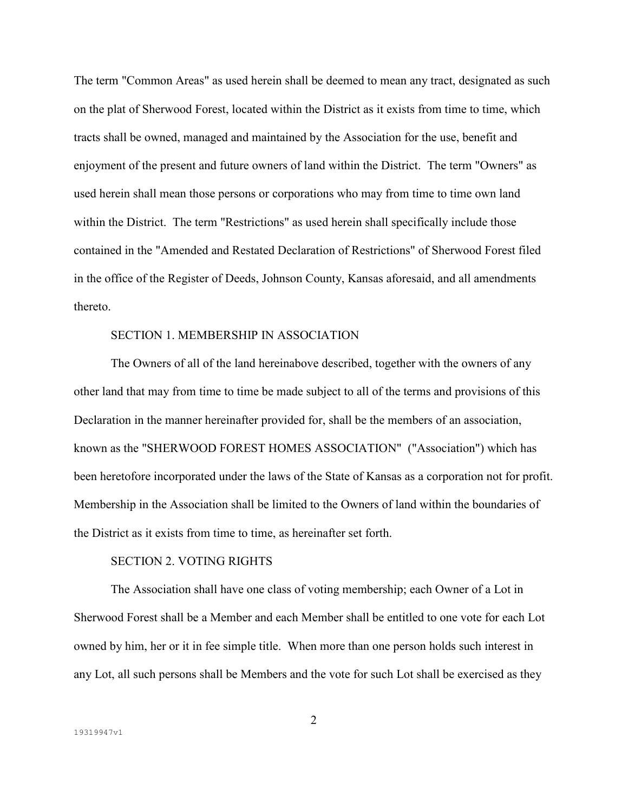The term "Common Areas" as used herein shall be deemed to mean any tract, designated as such on the plat of Sherwood Forest, located within the District as it exists from time to time, which tracts shall be owned, managed and maintained by the Association for the use, benefit and enjoyment of the present and future owners of land within the District. The term "Owners" as used herein shall mean those persons or corporations who may from time to time own land within the District. The term "Restrictions" as used herein shall specifically include those contained in the "Amended and Restated Declaration of Restrictions" of Sherwood Forest filed in the office of the Register of Deeds, Johnson County, Kansas aforesaid, and all amendments thereto.

### SECTION 1. MEMBERSHIP IN ASSOCIATION

 The Owners of all of the land hereinabove described, together with the owners of any other land that may from time to time be made subject to all of the terms and provisions of this Declaration in the manner hereinafter provided for, shall be the members of an association, known as the "SHERWOOD FOREST HOMES ASSOCIATION" ("Association") which has been heretofore incorporated under the laws of the State of Kansas as a corporation not for profit. Membership in the Association shall be limited to the Owners of land within the boundaries of the District as it exists from time to time, as hereinafter set forth.

## SECTION 2. VOTING RIGHTS

 The Association shall have one class of voting membership; each Owner of a Lot in Sherwood Forest shall be a Member and each Member shall be entitled to one vote for each Lot owned by him, her or it in fee simple title. When more than one person holds such interest in any Lot, all such persons shall be Members and the vote for such Lot shall be exercised as they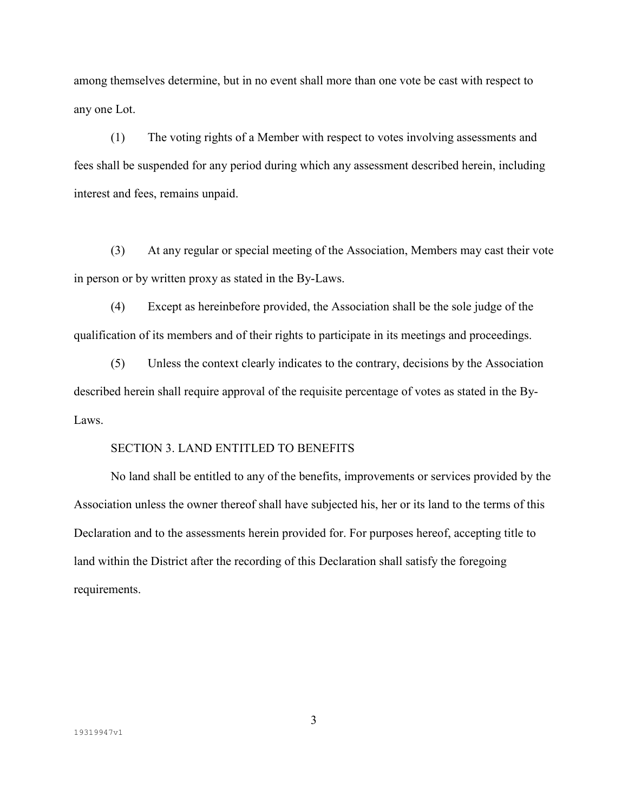among themselves determine, but in no event shall more than one vote be cast with respect to any one Lot.

 (1) The voting rights of a Member with respect to votes involving assessments and fees shall be suspended for any period during which any assessment described herein, including interest and fees, remains unpaid.

 (3) At any regular or special meeting of the Association, Members may cast their vote in person or by written proxy as stated in the By-Laws.

 (4) Except as hereinbefore provided, the Association shall be the sole judge of the qualification of its members and of their rights to participate in its meetings and proceedings.

 (5) Unless the context clearly indicates to the contrary, decisions by the Association described herein shall require approval of the requisite percentage of votes as stated in the By-Laws.

# SECTION 3. LAND ENTITLED TO BENEFITS

 No land shall be entitled to any of the benefits, improvements or services provided by the Association unless the owner thereof shall have subjected his, her or its land to the terms of this Declaration and to the assessments herein provided for. For purposes hereof, accepting title to land within the District after the recording of this Declaration shall satisfy the foregoing requirements.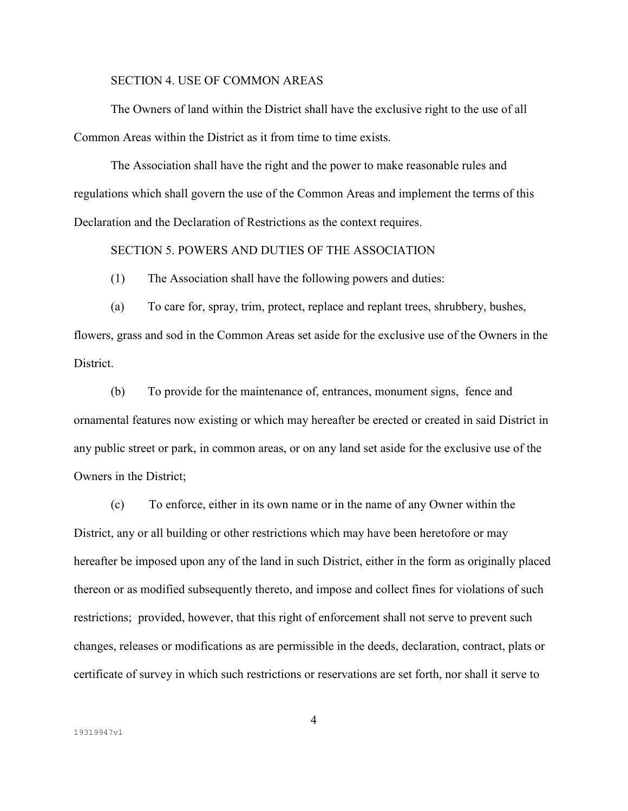## SECTION 4. USE OF COMMON AREAS

 The Owners of land within the District shall have the exclusive right to the use of all Common Areas within the District as it from time to time exists.

 The Association shall have the right and the power to make reasonable rules and regulations which shall govern the use of the Common Areas and implement the terms of this Declaration and the Declaration of Restrictions as the context requires.

# SECTION 5. POWERS AND DUTIES OF THE ASSOCIATION

(1) The Association shall have the following powers and duties:

 (a) To care for, spray, trim, protect, replace and replant trees, shrubbery, bushes, flowers, grass and sod in the Common Areas set aside for the exclusive use of the Owners in the **District** 

 (b) To provide for the maintenance of, entrances, monument signs, fence and ornamental features now existing or which may hereafter be erected or created in said District in any public street or park, in common areas, or on any land set aside for the exclusive use of the Owners in the District;

 (c) To enforce, either in its own name or in the name of any Owner within the District, any or all building or other restrictions which may have been heretofore or may hereafter be imposed upon any of the land in such District, either in the form as originally placed thereon or as modified subsequently thereto, and impose and collect fines for violations of such restrictions; provided, however, that this right of enforcement shall not serve to prevent such changes, releases or modifications as are permissible in the deeds, declaration, contract, plats or certificate of survey in which such restrictions or reservations are set forth, nor shall it serve to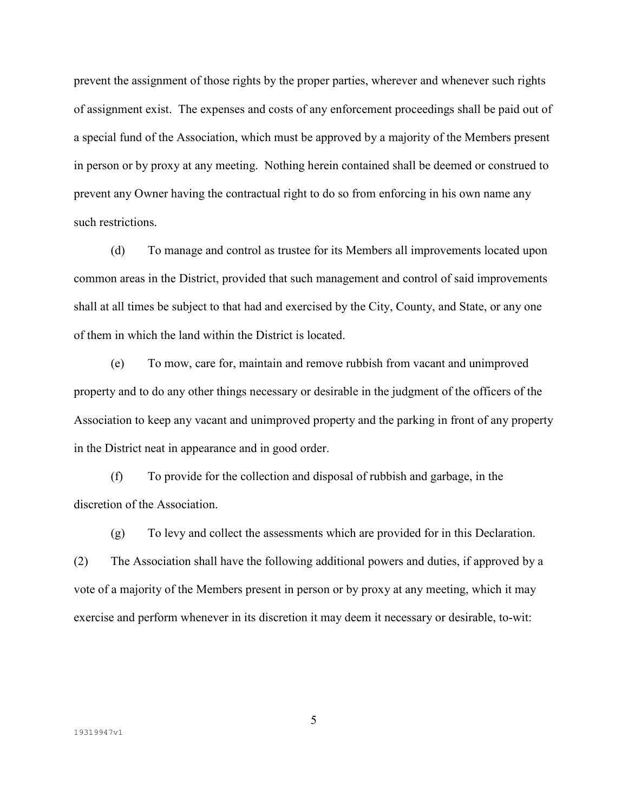prevent the assignment of those rights by the proper parties, wherever and whenever such rights of assignment exist. The expenses and costs of any enforcement proceedings shall be paid out of a special fund of the Association, which must be approved by a majority of the Members present in person or by proxy at any meeting. Nothing herein contained shall be deemed or construed to prevent any Owner having the contractual right to do so from enforcing in his own name any such restrictions.

 (d) To manage and control as trustee for its Members all improvements located upon common areas in the District, provided that such management and control of said improvements shall at all times be subject to that had and exercised by the City, County, and State, or any one of them in which the land within the District is located.

 (e) To mow, care for, maintain and remove rubbish from vacant and unimproved property and to do any other things necessary or desirable in the judgment of the officers of the Association to keep any vacant and unimproved property and the parking in front of any property in the District neat in appearance and in good order.

 (f) To provide for the collection and disposal of rubbish and garbage, in the discretion of the Association.

 (g) To levy and collect the assessments which are provided for in this Declaration. (2) The Association shall have the following additional powers and duties, if approved by a vote of a majority of the Members present in person or by proxy at any meeting, which it may exercise and perform whenever in its discretion it may deem it necessary or desirable, to-wit: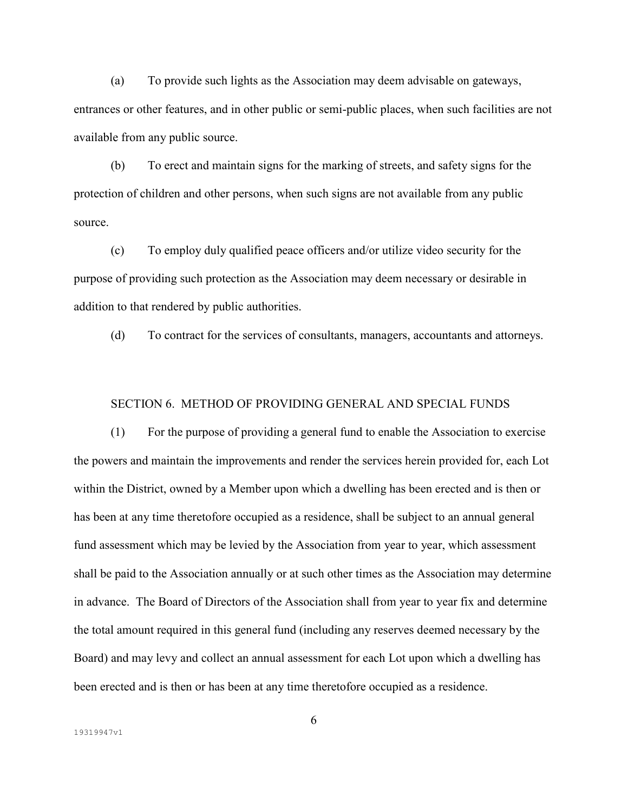(a) To provide such lights as the Association may deem advisable on gateways, entrances or other features, and in other public or semi-public places, when such facilities are not available from any public source.

 (b) To erect and maintain signs for the marking of streets, and safety signs for the protection of children and other persons, when such signs are not available from any public source.

 (c) To employ duly qualified peace officers and/or utilize video security for the purpose of providing such protection as the Association may deem necessary or desirable in addition to that rendered by public authorities.

(d) To contract for the services of consultants, managers, accountants and attorneys.

#### SECTION 6. METHOD OF PROVIDING GENERAL AND SPECIAL FUNDS

 (1) For the purpose of providing a general fund to enable the Association to exercise the powers and maintain the improvements and render the services herein provided for, each Lot within the District, owned by a Member upon which a dwelling has been erected and is then or has been at any time theretofore occupied as a residence, shall be subject to an annual general fund assessment which may be levied by the Association from year to year, which assessment shall be paid to the Association annually or at such other times as the Association may determine in advance. The Board of Directors of the Association shall from year to year fix and determine the total amount required in this general fund (including any reserves deemed necessary by the Board) and may levy and collect an annual assessment for each Lot upon which a dwelling has been erected and is then or has been at any time theretofore occupied as a residence.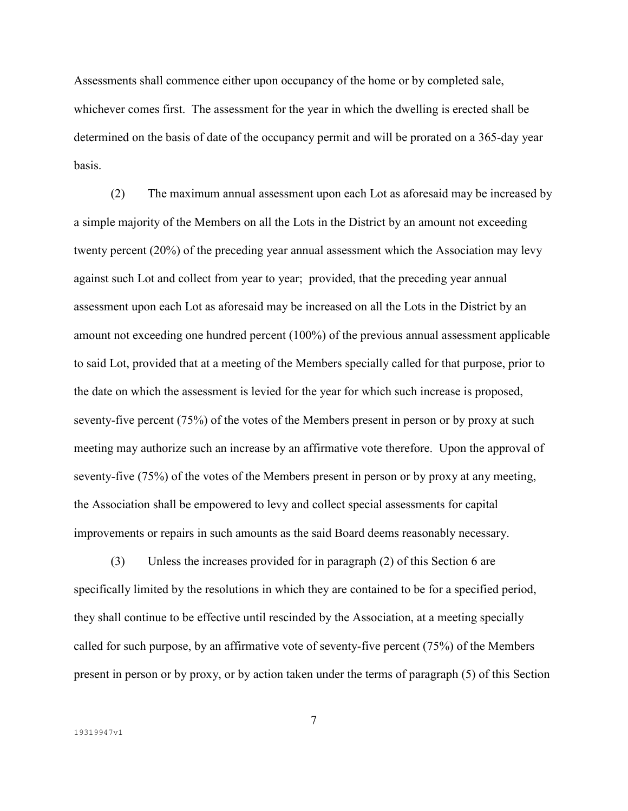Assessments shall commence either upon occupancy of the home or by completed sale, whichever comes first. The assessment for the year in which the dwelling is erected shall be determined on the basis of date of the occupancy permit and will be prorated on a 365-day year basis.

 (2) The maximum annual assessment upon each Lot as aforesaid may be increased by a simple majority of the Members on all the Lots in the District by an amount not exceeding twenty percent (20%) of the preceding year annual assessment which the Association may levy against such Lot and collect from year to year; provided, that the preceding year annual assessment upon each Lot as aforesaid may be increased on all the Lots in the District by an amount not exceeding one hundred percent (100%) of the previous annual assessment applicable to said Lot, provided that at a meeting of the Members specially called for that purpose, prior to the date on which the assessment is levied for the year for which such increase is proposed, seventy-five percent (75%) of the votes of the Members present in person or by proxy at such meeting may authorize such an increase by an affirmative vote therefore. Upon the approval of seventy-five (75%) of the votes of the Members present in person or by proxy at any meeting, the Association shall be empowered to levy and collect special assessments for capital improvements or repairs in such amounts as the said Board deems reasonably necessary.

 (3) Unless the increases provided for in paragraph (2) of this Section 6 are specifically limited by the resolutions in which they are contained to be for a specified period, they shall continue to be effective until rescinded by the Association, at a meeting specially called for such purpose, by an affirmative vote of seventy-five percent (75%) of the Members present in person or by proxy, or by action taken under the terms of paragraph (5) of this Section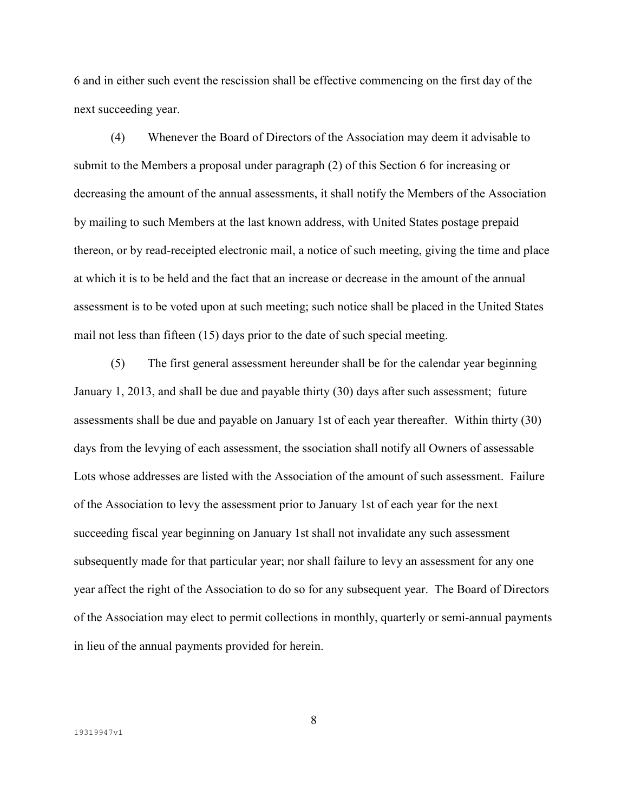6 and in either such event the rescission shall be effective commencing on the first day of the next succeeding year.

 (4) Whenever the Board of Directors of the Association may deem it advisable to submit to the Members a proposal under paragraph (2) of this Section 6 for increasing or decreasing the amount of the annual assessments, it shall notify the Members of the Association by mailing to such Members at the last known address, with United States postage prepaid thereon, or by read-receipted electronic mail, a notice of such meeting, giving the time and place at which it is to be held and the fact that an increase or decrease in the amount of the annual assessment is to be voted upon at such meeting; such notice shall be placed in the United States mail not less than fifteen (15) days prior to the date of such special meeting.

 (5) The first general assessment hereunder shall be for the calendar year beginning January 1, 2013, and shall be due and payable thirty (30) days after such assessment; future assessments shall be due and payable on January 1st of each year thereafter. Within thirty (30) days from the levying of each assessment, the ssociation shall notify all Owners of assessable Lots whose addresses are listed with the Association of the amount of such assessment. Failure of the Association to levy the assessment prior to January 1st of each year for the next succeeding fiscal year beginning on January 1st shall not invalidate any such assessment subsequently made for that particular year; nor shall failure to levy an assessment for any one year affect the right of the Association to do so for any subsequent year. The Board of Directors of the Association may elect to permit collections in monthly, quarterly or semi-annual payments in lieu of the annual payments provided for herein.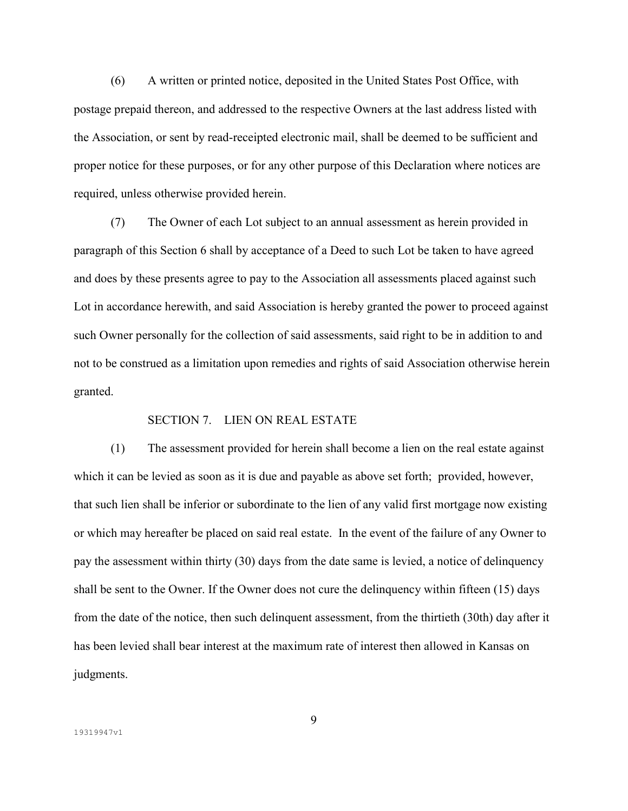(6) A written or printed notice, deposited in the United States Post Office, with postage prepaid thereon, and addressed to the respective Owners at the last address listed with the Association, or sent by read-receipted electronic mail, shall be deemed to be sufficient and proper notice for these purposes, or for any other purpose of this Declaration where notices are required, unless otherwise provided herein.

 (7) The Owner of each Lot subject to an annual assessment as herein provided in paragraph of this Section 6 shall by acceptance of a Deed to such Lot be taken to have agreed and does by these presents agree to pay to the Association all assessments placed against such Lot in accordance herewith, and said Association is hereby granted the power to proceed against such Owner personally for the collection of said assessments, said right to be in addition to and not to be construed as a limitation upon remedies and rights of said Association otherwise herein granted.

## SECTION 7. LIEN ON REAL ESTATE

 (1) The assessment provided for herein shall become a lien on the real estate against which it can be levied as soon as it is due and payable as above set forth; provided, however, that such lien shall be inferior or subordinate to the lien of any valid first mortgage now existing or which may hereafter be placed on said real estate. In the event of the failure of any Owner to pay the assessment within thirty (30) days from the date same is levied, a notice of delinquency shall be sent to the Owner. If the Owner does not cure the delinquency within fifteen (15) days from the date of the notice, then such delinquent assessment, from the thirtieth (30th) day after it has been levied shall bear interest at the maximum rate of interest then allowed in Kansas on judgments.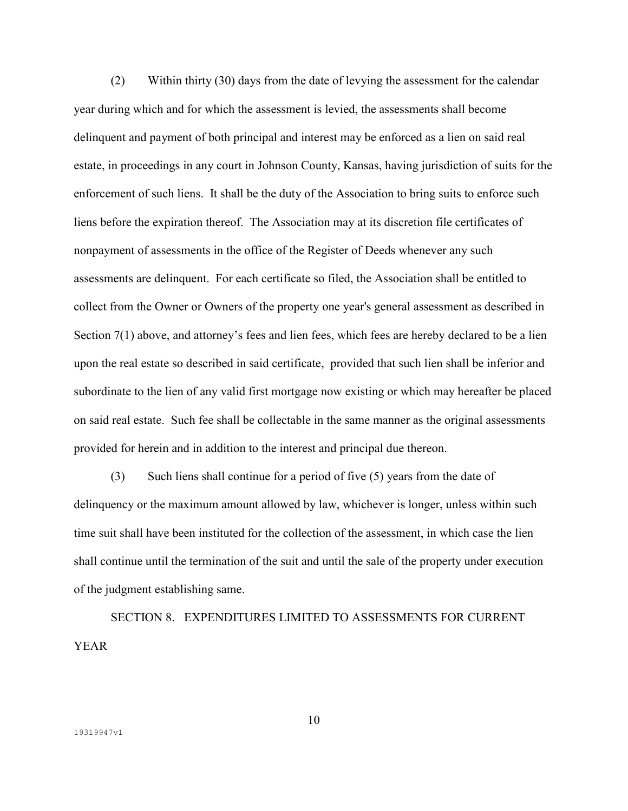(2) Within thirty (30) days from the date of levying the assessment for the calendar year during which and for which the assessment is levied, the assessments shall become delinquent and payment of both principal and interest may be enforced as a lien on said real estate, in proceedings in any court in Johnson County, Kansas, having jurisdiction of suits for the enforcement of such liens. It shall be the duty of the Association to bring suits to enforce such liens before the expiration thereof. The Association may at its discretion file certificates of nonpayment of assessments in the office of the Register of Deeds whenever any such assessments are delinquent. For each certificate so filed, the Association shall be entitled to collect from the Owner or Owners of the property one year's general assessment as described in Section 7(1) above, and attorney's fees and lien fees, which fees are hereby declared to be a lien upon the real estate so described in said certificate, provided that such lien shall be inferior and subordinate to the lien of any valid first mortgage now existing or which may hereafter be placed on said real estate. Such fee shall be collectable in the same manner as the original assessments provided for herein and in addition to the interest and principal due thereon.

 (3) Such liens shall continue for a period of five (5) years from the date of delinquency or the maximum amount allowed by law, whichever is longer, unless within such time suit shall have been instituted for the collection of the assessment, in which case the lien shall continue until the termination of the suit and until the sale of the property under execution of the judgment establishing same.

 SECTION 8. EXPENDITURES LIMITED TO ASSESSMENTS FOR CURRENT YEAR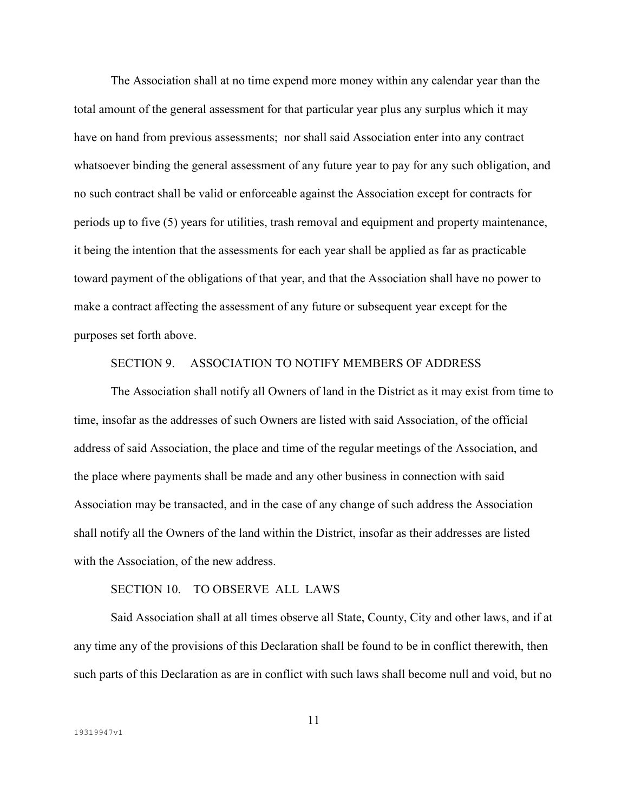The Association shall at no time expend more money within any calendar year than the total amount of the general assessment for that particular year plus any surplus which it may have on hand from previous assessments; nor shall said Association enter into any contract whatsoever binding the general assessment of any future year to pay for any such obligation, and no such contract shall be valid or enforceable against the Association except for contracts for periods up to five (5) years for utilities, trash removal and equipment and property maintenance, it being the intention that the assessments for each year shall be applied as far as practicable toward payment of the obligations of that year, and that the Association shall have no power to make a contract affecting the assessment of any future or subsequent year except for the purposes set forth above.

## SECTION 9. ASSOCIATION TO NOTIFY MEMBERS OF ADDRESS

 The Association shall notify all Owners of land in the District as it may exist from time to time, insofar as the addresses of such Owners are listed with said Association, of the official address of said Association, the place and time of the regular meetings of the Association, and the place where payments shall be made and any other business in connection with said Association may be transacted, and in the case of any change of such address the Association shall notify all the Owners of the land within the District, insofar as their addresses are listed with the Association, of the new address.

## SECTION 10. TO OBSERVE ALL LAWS

 Said Association shall at all times observe all State, County, City and other laws, and if at any time any of the provisions of this Declaration shall be found to be in conflict therewith, then such parts of this Declaration as are in conflict with such laws shall become null and void, but no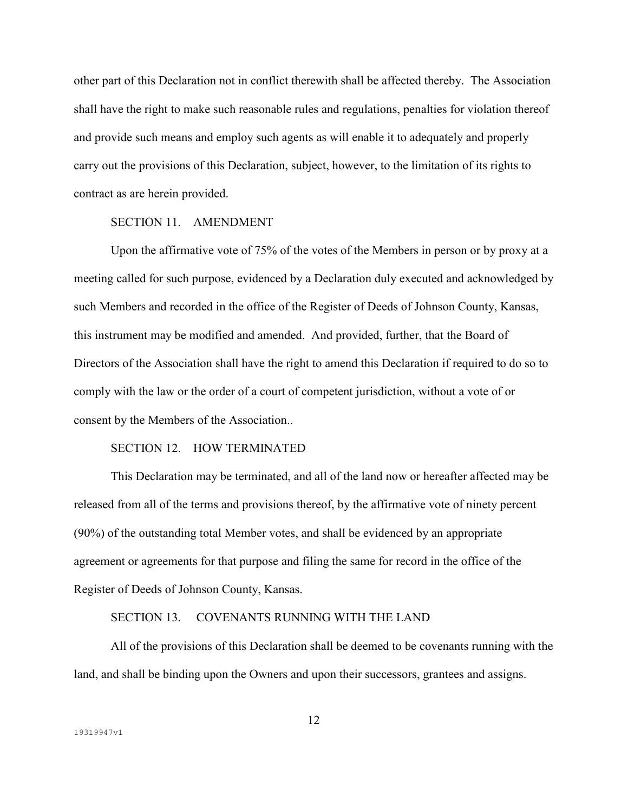other part of this Declaration not in conflict therewith shall be affected thereby. The Association shall have the right to make such reasonable rules and regulations, penalties for violation thereof and provide such means and employ such agents as will enable it to adequately and properly carry out the provisions of this Declaration, subject, however, to the limitation of its rights to contract as are herein provided.

# SECTION 11 AMENDMENT

 Upon the affirmative vote of 75% of the votes of the Members in person or by proxy at a meeting called for such purpose, evidenced by a Declaration duly executed and acknowledged by such Members and recorded in the office of the Register of Deeds of Johnson County, Kansas, this instrument may be modified and amended. And provided, further, that the Board of Directors of the Association shall have the right to amend this Declaration if required to do so to comply with the law or the order of a court of competent jurisdiction, without a vote of or consent by the Members of the Association..

# SECTION 12. HOW TERMINATED

 This Declaration may be terminated, and all of the land now or hereafter affected may be released from all of the terms and provisions thereof, by the affirmative vote of ninety percent (90%) of the outstanding total Member votes, and shall be evidenced by an appropriate agreement or agreements for that purpose and filing the same for record in the office of the Register of Deeds of Johnson County, Kansas.

## SECTION 13. COVENANTS RUNNING WITH THE LAND

 All of the provisions of this Declaration shall be deemed to be covenants running with the land, and shall be binding upon the Owners and upon their successors, grantees and assigns.